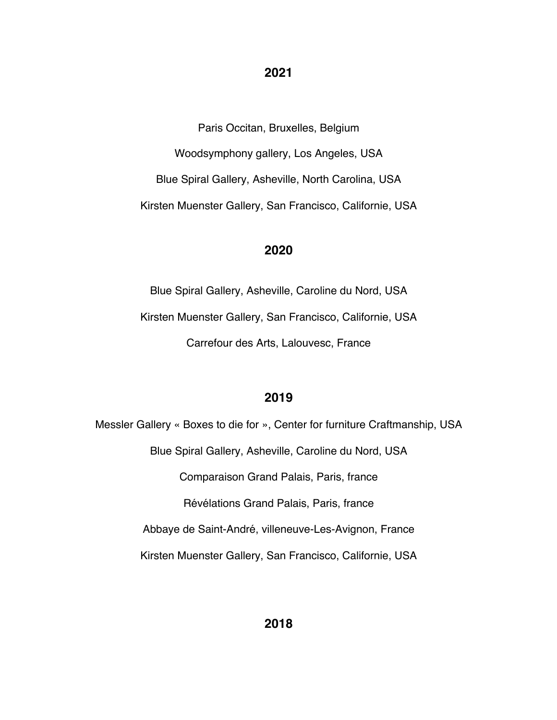#### **2021**

Paris Occitan, Bruxelles, Belgium

Woodsymphony gallery, Los Angeles, USA Blue Spiral Gallery, Asheville, North Carolina, USA

Kirsten Muenster Gallery, San Francisco, Californie, USA

#### **2020**

Blue Spiral Gallery, Asheville, Caroline du Nord, USA Kirsten Muenster Gallery, San Francisco, Californie, USA Carrefour des Arts, Lalouvesc, France

# **2019**

Messler Gallery « Boxes to die for », Center for furniture Craftmanship, USA Blue Spiral Gallery, Asheville, Caroline du Nord, USA Comparaison Grand Palais, Paris, france Révélations Grand Palais, Paris, france Abbaye de Saint-André, villeneuve-Les-Avignon, France Kirsten Muenster Gallery, San Francisco, Californie, USA

**2018**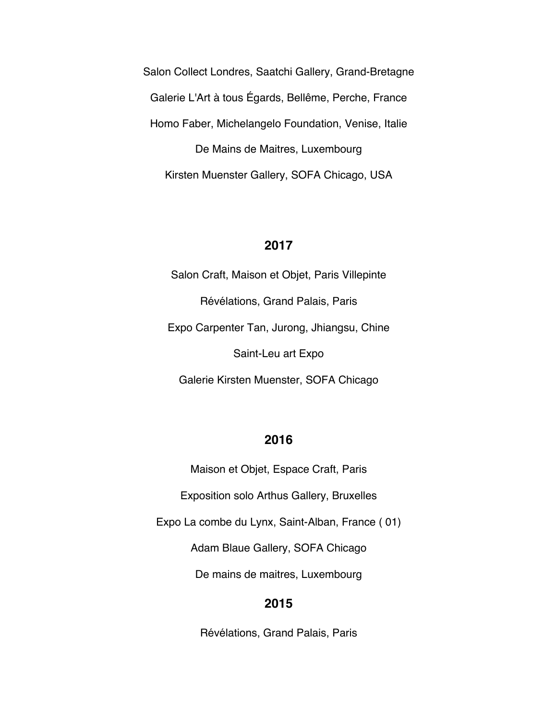Salon Collect Londres, Saatchi Gallery, Grand-Bretagne Galerie L'Art à tous Égards, Bellême, Perche, France Homo Faber, Michelangelo Foundation, Venise, Italie De Mains de Maitres, Luxembourg Kirsten Muenster Gallery, SOFA Chicago, USA

#### **2017**

Salon Craft, Maison et Objet, Paris Villepinte Révélations, Grand Palais, Paris Expo Carpenter Tan, Jurong, Jhiangsu, Chine Saint-Leu art Expo

Galerie Kirsten Muenster, SOFA Chicago

# **2016**

Maison et Objet, Espace Craft, Paris

Exposition solo Arthus Gallery, Bruxelles

Expo La combe du Lynx, Saint-Alban, France ( 01)

Adam Blaue Gallery, SOFA Chicago

De mains de maitres, Luxembourg

# **2015**

Révélations, Grand Palais, Paris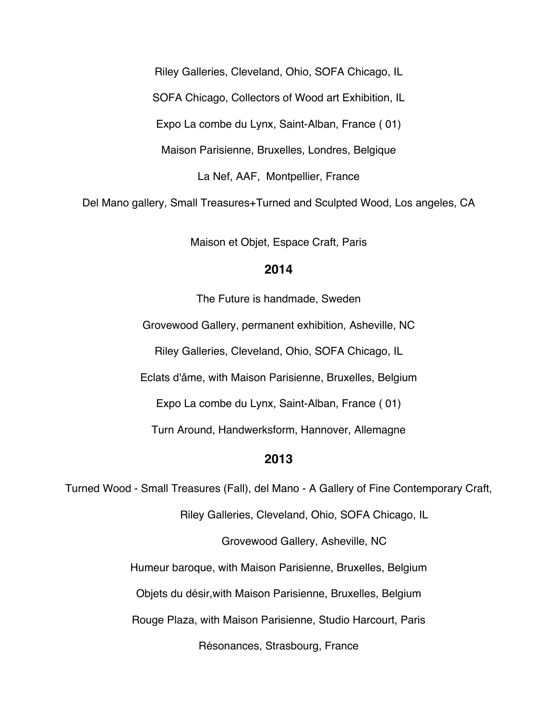Riley Galleries, Cleveland, Ohio, SOFA Chicago, IL

SOFA Chicago, Collectors of Wood art Exhibition, IL

Expo La combe du Lynx, Saint-Alban, France ( 01)

Maison Parisienne, Bruxelles, Londres, Belgique

La Nef, AAF, Montpellier, France

Del Mano gallery, Small Treasures+Turned and Sculpted Wood, Los angeles, CA

Maison et Objet, Espace Craft, Paris

#### **2014**

The Future is handmade, Sweden Grovewood Gallery, permanent exhibition, Asheville, NC Riley Galleries, Cleveland, Ohio, SOFA Chicago, IL Eclats d'âme, with Maison Parisienne, Bruxelles, Belgium Expo La combe du Lynx, Saint-Alban, France ( 01) Turn Around, Handwerksform, Hannover, Allemagne

# **2013**

Turned Wood - Small Treasures (Fall), del Mano - A Gallery of Fine Contemporary Craft,

Riley Galleries, Cleveland, Ohio, SOFA Chicago, IL

Grovewood Gallery, Asheville, NC

Humeur baroque, with Maison Parisienne, Bruxelles, Belgium

Objets du désir,with Maison Parisienne, Bruxelles, Belgium

Rouge Plaza, with Maison Parisienne, Studio Harcourt, Paris

Résonances, Strasbourg, France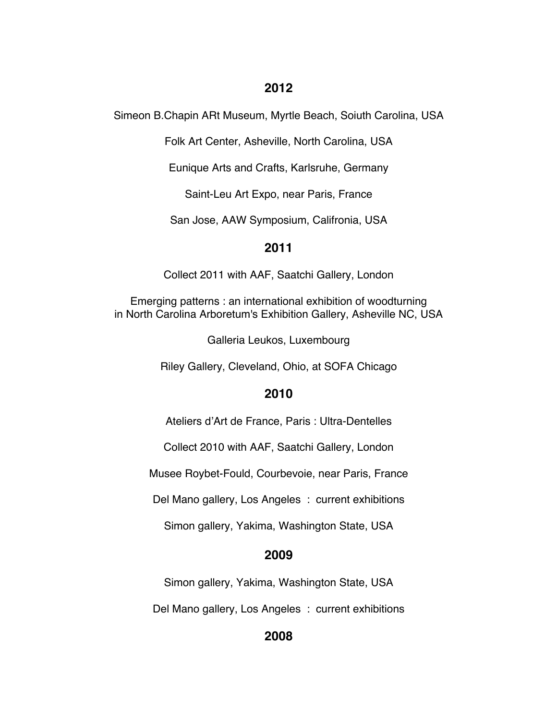# **2012**

Simeon B.Chapin ARt Museum, Myrtle Beach, Soiuth Carolina, USA

Folk Art Center, Asheville, North Carolina, USA

Eunique Arts and Crafts, Karlsruhe, Germany

Saint-Leu Art Expo, near Paris, France

San Jose, AAW Symposium, Califronia, USA

# **2011**

Collect 2011 with AAF, Saatchi Gallery, London

Emerging patterns : an international exhibition of woodturning in North Carolina Arboretum's Exhibition Gallery, Asheville NC, USA

Galleria Leukos, Luxembourg

Riley Gallery, Cleveland, Ohio, at SOFA Chicago

# **2010**

Ateliers d'Art de France, Paris : Ultra-Dentelles

Collect 2010 with AAF, Saatchi Gallery, London

Musee Roybet-Fould, Courbevoie, near Paris, France

Del Mano gallery, Los Angeles : current exhibitions

Simon gallery, Yakima, Washington State, USA

# **2009**

Simon gallery, Yakima, Washington State, USA

Del Mano gallery, Los Angeles : current exhibitions

# **2008**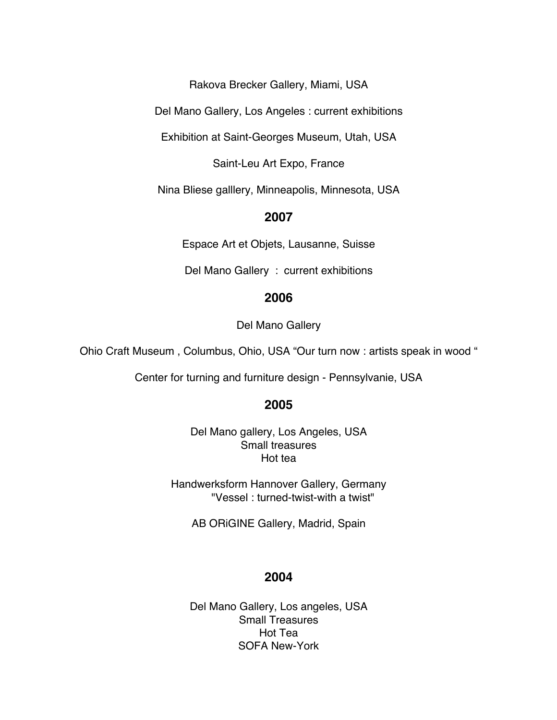Rakova Brecker Gallery, Miami, USA

Del Mano Gallery, Los Angeles : current exhibitions

Exhibition at Saint-Georges Museum, Utah, USA

Saint-Leu Art Expo, France

Nina Bliese galllery, Minneapolis, Minnesota, USA

# **2007**

Espace Art et Objets, Lausanne, Suisse

Del Mano Gallery : current exhibitions

#### **2006**

Del Mano Gallery

Ohio Craft Museum , Columbus, Ohio, USA "Our turn now : artists speak in wood "

Center for turning and furniture design - Pennsylvanie, USA

#### **2005**

Del Mano gallery, Los Angeles, USA Small treasures Hot tea

Handwerksform Hannover Gallery, Germany "Vessel : turned-twist-with a twist"

AB ORiGINE Gallery, Madrid, Spain

# **2004**

Del Mano Gallery, Los angeles, USA Small Treasures Hot Tea SOFA New-York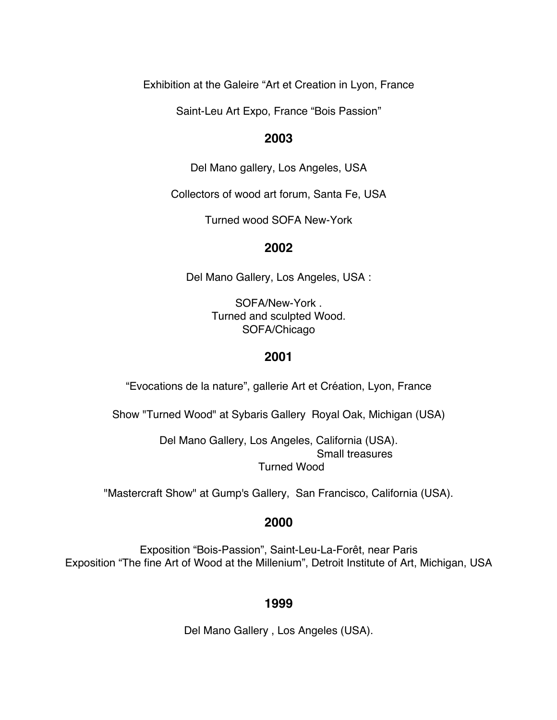Exhibition at the Galeire "Art et Creation in Lyon, France

Saint-Leu Art Expo, France "Bois Passion"

# **2003**

Del Mano gallery, Los Angeles, USA

Collectors of wood art forum, Santa Fe, USA

Turned wood SOFA New-York

#### **2002**

Del Mano Gallery, Los Angeles, USA :

SOFA/New-York . Turned and sculpted Wood. SOFA/Chicago

#### **2001**

"Evocations de la nature", gallerie Art et Création, Lyon, France

Show "Turned Wood" at Sybaris Gallery Royal Oak, Michigan (USA)

Del Mano Gallery, Los Angeles, California (USA). Small treasures Turned Wood

"Mastercraft Show" at Gump's Gallery, San Francisco, California (USA).

# **2000**

Exposition "Bois-Passion", Saint-Leu-La-Forêt, near Paris Exposition "The fine Art of Wood at the Millenium", Detroit Institute of Art, Michigan, USA

# **1999**

Del Mano Gallery , Los Angeles (USA).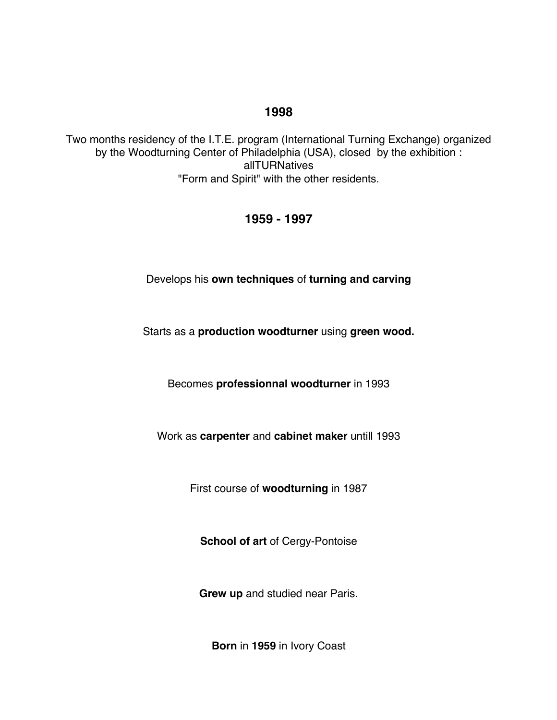# **1998**

Two months residency of the I.T.E. program (International Turning Exchange) organized by the Woodturning Center of Philadelphia (USA), closed by the exhibition : allTURNatives "Form and Spirit" with the other residents.

# **1959 - 1997**

Develops his **own techniques** of **turning and carving**

Starts as a **production woodturner** using **green wood.**

Becomes **professionnal woodturner** in 1993

Work as **carpenter** and **cabinet maker** untill 1993

First course of **woodturning** in 1987

**School of art** of Cergy-Pontoise

**Grew up** and studied near Paris.

**Born** in **1959** in Ivory Coast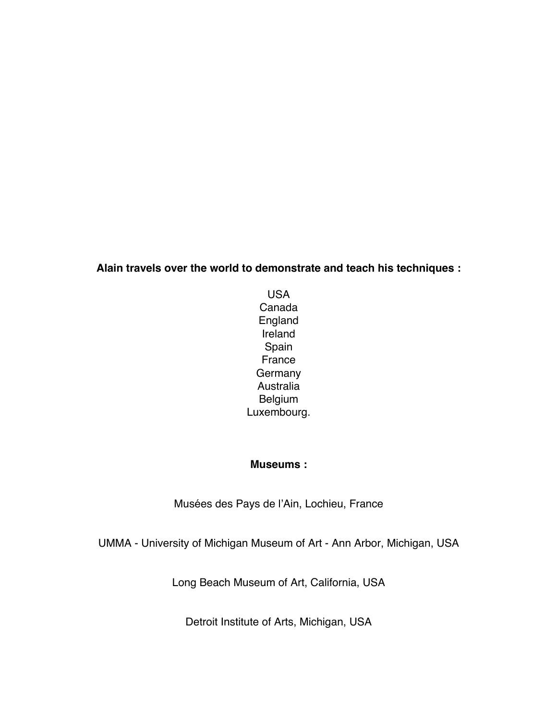# **Alain travels over the world to demonstrate and teach his techniques :**

USA Canada England Ireland Spain France **Germany** Australia Belgium Luxembourg.

# **Museums :**

Musées des Pays de l'Ain, Lochieu, France

UMMA - University of Michigan Museum of Art - Ann Arbor, Michigan, USA

Long Beach Museum of Art, California, USA

Detroit Institute of Arts, Michigan, USA